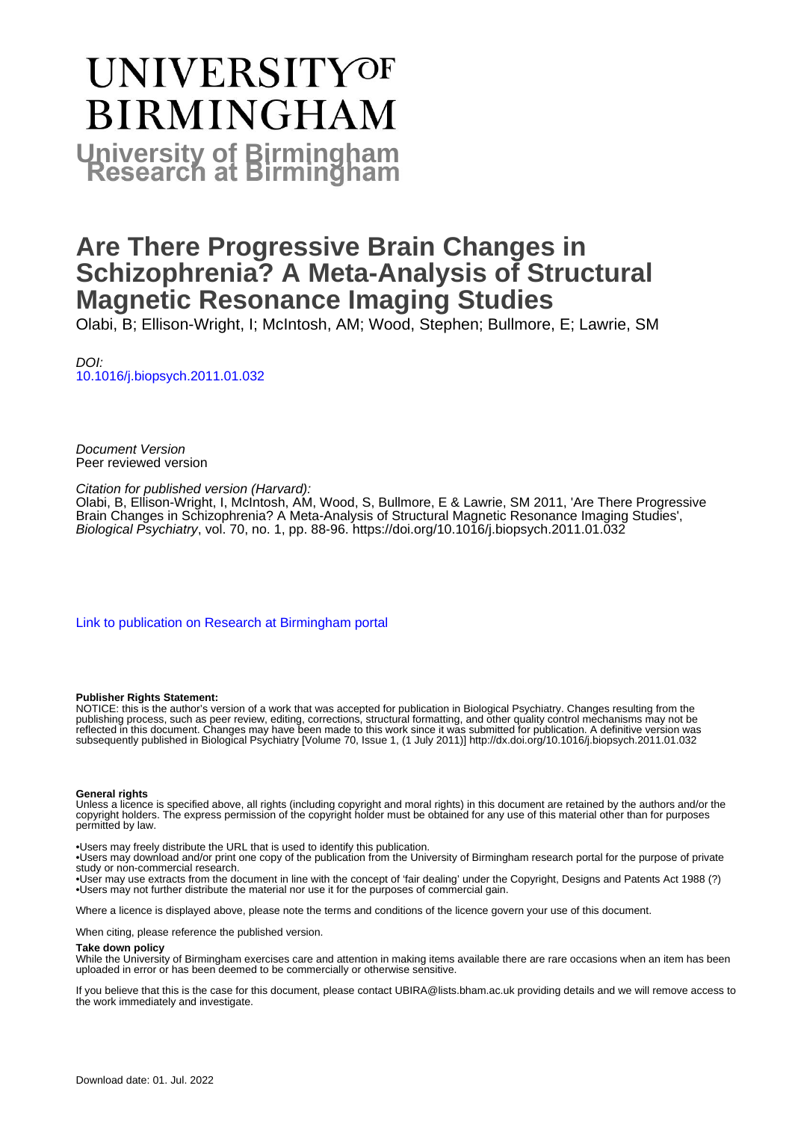# **UNIVERSITYOF BIRMINGHAM University of Birmingham**

# **Are There Progressive Brain Changes in Schizophrenia? A Meta-Analysis of Structural Magnetic Resonance Imaging Studies**

Olabi, B; Ellison-Wright, I; McIntosh, AM; Wood, Stephen; Bullmore, E; Lawrie, SM

DOI: [10.1016/j.biopsych.2011.01.032](https://doi.org/10.1016/j.biopsych.2011.01.032)

Document Version Peer reviewed version

Citation for published version (Harvard):

Olabi, B, Ellison-Wright, I, McIntosh, AM, Wood, S, Bullmore, E & Lawrie, SM 2011, 'Are There Progressive Brain Changes in Schizophrenia? A Meta-Analysis of Structural Magnetic Resonance Imaging Studies', Biological Psychiatry, vol. 70, no. 1, pp. 88-96. <https://doi.org/10.1016/j.biopsych.2011.01.032>

[Link to publication on Research at Birmingham portal](https://birmingham.elsevierpure.com/en/publications/01941260-4385-49ff-978f-e6a6ab249b27)

#### **Publisher Rights Statement:**

NOTICE: this is the author's version of a work that was accepted for publication in Biological Psychiatry. Changes resulting from the publishing process, such as peer review, editing, corrections, structural formatting, and other quality control mechanisms may not be reflected in this document. Changes may have been made to this work since it was submitted for publication. A definitive version was subsequently published in Biological Psychiatry [Volume 70, Issue 1, (1 July 2011)] http://dx.doi.org/10.1016/j.biopsych.2011.01.032

#### **General rights**

Unless a licence is specified above, all rights (including copyright and moral rights) in this document are retained by the authors and/or the copyright holders. The express permission of the copyright holder must be obtained for any use of this material other than for purposes permitted by law.

• Users may freely distribute the URL that is used to identify this publication.

• Users may download and/or print one copy of the publication from the University of Birmingham research portal for the purpose of private study or non-commercial research.

• User may use extracts from the document in line with the concept of 'fair dealing' under the Copyright, Designs and Patents Act 1988 (?) • Users may not further distribute the material nor use it for the purposes of commercial gain.

Where a licence is displayed above, please note the terms and conditions of the licence govern your use of this document.

When citing, please reference the published version.

#### **Take down policy**

While the University of Birmingham exercises care and attention in making items available there are rare occasions when an item has been uploaded in error or has been deemed to be commercially or otherwise sensitive.

If you believe that this is the case for this document, please contact UBIRA@lists.bham.ac.uk providing details and we will remove access to the work immediately and investigate.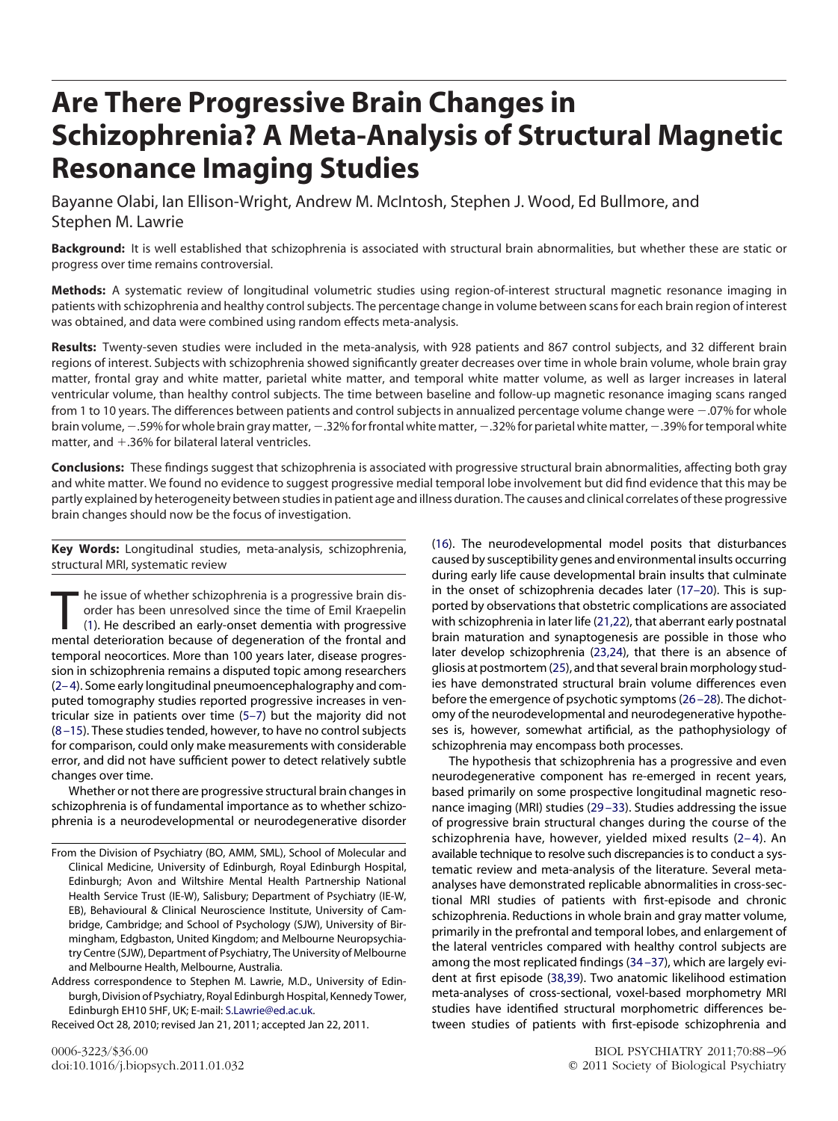# **Are There Progressive Brain Changes in Schizophrenia? A Meta-Analysis of Structural Magnetic Resonance Imaging Studies**

Bayanne Olabi, Ian Ellison-Wright, Andrew M. McIntosh, Stephen J. Wood, Ed Bullmore, and Stephen M. Lawrie

**Background:** It is well established that schizophrenia is associated with structural brain abnormalities, but whether these are static or progress over time remains controversial.

**Methods:** A systematic review of longitudinal volumetric studies using region-of-interest structural magnetic resonance imaging in patients with schizophrenia and healthy control subjects. The percentage change in volume between scans for each brain region of interest was obtained, and data were combined using random effects meta-analysis.

**Results:** Twenty-seven studies were included in the meta-analysis, with 928 patients and 867 control subjects, and 32 different brain regions of interest. Subjects with schizophrenia showed significantly greater decreases over time in whole brain volume, whole brain gray matter, frontal gray and white matter, parietal white matter, and temporal white matter volume, as well as larger increases in lateral ventricular volume, than healthy control subjects. The time between baseline and follow-up magnetic resonance imaging scans ranged from 1 to 10 years. The differences between patients and control subjects in annualized percentage volume change were -.07% for whole brain volume, -.59% for whole brain gray matter, -.32% for frontal white matter, -.32% for parietal white matter, -.39% for temporal white  $m$ atter, and  $+.36\%$  for bilateral lateral ventricles.

**Conclusions:** These findings suggest that schizophrenia is associated with progressive structural brain abnormalities, affecting both gray and white matter. We found no evidence to suggest progressive medial temporal lobe involvement but did find evidence that this may be partly explained by heterogeneity between studies in patient age and illness duration. The causes and clinical correlates of these progressive brain changes should now be the focus of investigation.

**Key Words:** Longitudinal studies, meta-analysis, schizophrenia, structural MRI, systematic review

he issue of whether schizophrenia is a progressive brain disorder has been unresolved since the time of Emil Kraepelin [\(1\)](#page-7-0). He described an early-onset dementia with progressive mental deterioration because of degeneration of the frontal and temporal neocortices. More than 100 years later, disease progression in schizophrenia remains a disputed topic among researchers [\(2– 4\)](#page-7-1). Some early longitudinal pneumoencephalography and computed tomography studies reported progressive increases in ventricular size in patients over time [\(5–7\)](#page-7-2) but the majority did not [\(8 –15\)](#page-7-3). These studies tended, however, to have no control subjects for comparison, could only make measurements with considerable error, and did not have sufficient power to detect relatively subtle changes over time.

Whether or not there are progressive structural brain changes in schizophrenia is of fundamental importance as to whether schizophrenia is a neurodevelopmental or neurodegenerative disorder

Received Oct 28, 2010; revised Jan 21, 2011; accepted Jan 22, 2011.

[\(16\)](#page-7-4). The neurodevelopmental model posits that disturbances caused by susceptibility genes and environmental insults occurring during early life cause developmental brain insults that culminate in the onset of schizophrenia decades later [\(17–20\)](#page-7-5). This is supported by observations that obstetric complications are associated with schizophrenia in later life [\(21,22\)](#page-7-6), that aberrant early postnatal brain maturation and synaptogenesis are possible in those who later develop schizophrenia [\(23,24\)](#page-7-7), that there is an absence of gliosis at postmortem [\(25\)](#page-7-8), and that several brain morphology studies have demonstrated structural brain volume differences even before the emergence of psychotic symptoms [\(26 –28\)](#page-7-9). The dichotomy of the neurodevelopmental and neurodegenerative hypotheses is, however, somewhat artificial, as the pathophysiology of schizophrenia may encompass both processes.

The hypothesis that schizophrenia has a progressive and even neurodegenerative component has re-emerged in recent years, based primarily on some prospective longitudinal magnetic resonance imaging (MRI) studies [\(29 –33\)](#page-7-10). Studies addressing the issue of progressive brain structural changes during the course of the schizophrenia have, however, yielded mixed results [\(2– 4\)](#page-7-1). An available technique to resolve such discrepancies is to conduct a systematic review and meta-analysis of the literature. Several metaanalyses have demonstrated replicable abnormalities in cross-sectional MRI studies of patients with first-episode and chronic schizophrenia. Reductions in whole brain and gray matter volume, primarily in the prefrontal and temporal lobes, and enlargement of the lateral ventricles compared with healthy control subjects are among the most replicated findings [\(34 –37\)](#page-7-11), which are largely evident at first episode [\(38,39\)](#page-7-12). Two anatomic likelihood estimation meta-analyses of cross-sectional, voxel-based morphometry MRI studies have identified structural morphometric differences between studies of patients with first-episode schizophrenia and

From the Division of Psychiatry (BO, AMM, SML), School of Molecular and Clinical Medicine, University of Edinburgh, Royal Edinburgh Hospital, Edinburgh; Avon and Wiltshire Mental Health Partnership National Health Service Trust (IE-W), Salisbury; Department of Psychiatry (IE-W, EB), Behavioural & Clinical Neuroscience Institute, University of Cambridge, Cambridge; and School of Psychology (SJW), University of Birmingham, Edgbaston, United Kingdom; and Melbourne Neuropsychiatry Centre (SJW), Department of Psychiatry, The University of Melbourne and Melbourne Health, Melbourne, Australia.

Address correspondence to Stephen M. Lawrie, M.D., University of Edinburgh, Division of Psychiatry, Royal Edinburgh Hospital, Kennedy Tower, Edinburgh EH10 5HF, UK; E-mail: [S.Lawrie@ed.ac.uk.](mailto:S.Lawrie@ed.ac.uk)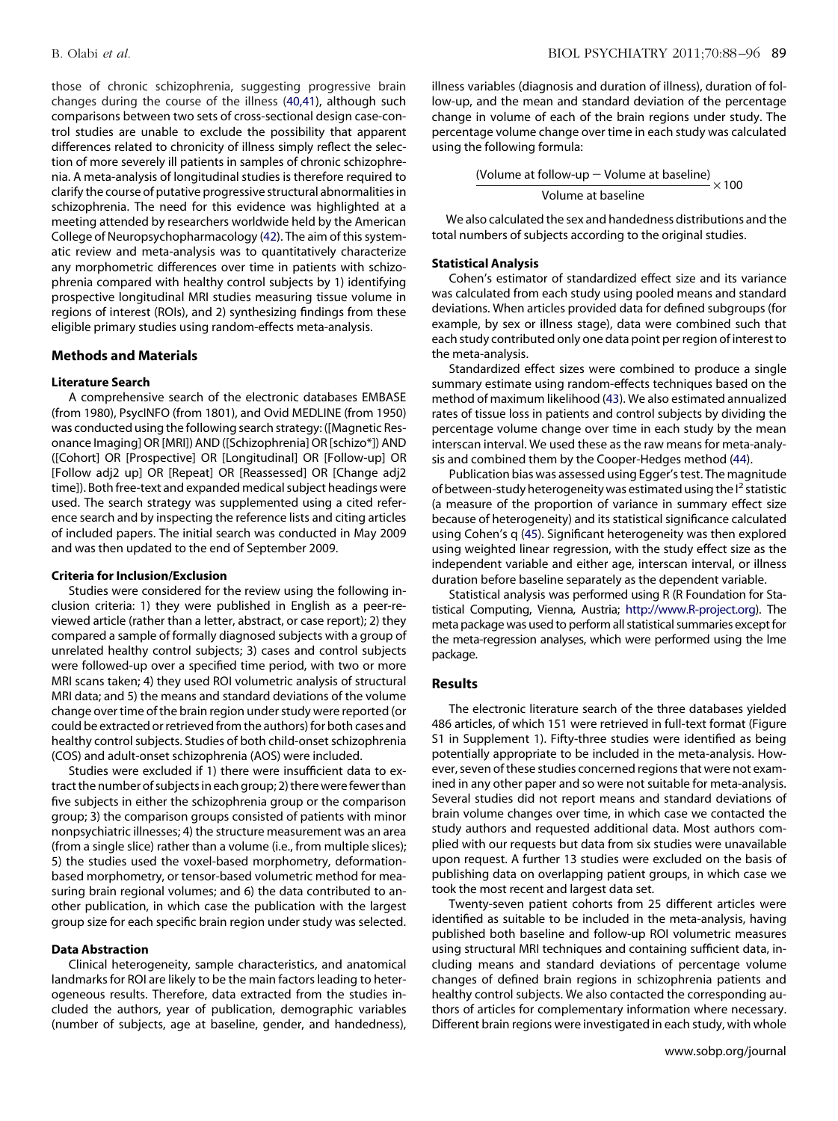those of chronic schizophrenia, suggesting progressive brain changes during the course of the illness [\(40,41\)](#page-7-13), although such comparisons between two sets of cross-sectional design case-control studies are unable to exclude the possibility that apparent differences related to chronicity of illness simply reflect the selection of more severely ill patients in samples of chronic schizophrenia. A meta-analysis of longitudinal studies is therefore required to clarify the course of putative progressive structural abnormalities in schizophrenia. The need for this evidence was highlighted at a meeting attended by researchers worldwide held by the American College of Neuropsychopharmacology [\(42\)](#page-8-0). The aim of this systematic review and meta-analysis was to quantitatively characterize any morphometric differences over time in patients with schizophrenia compared with healthy control subjects by 1) identifying prospective longitudinal MRI studies measuring tissue volume in regions of interest (ROIs), and 2) synthesizing findings from these eligible primary studies using random-effects meta-analysis.

#### **Methods and Materials**

#### **Literature Search**

A comprehensive search of the electronic databases EMBASE (from 1980), PsycINFO (from 1801), and Ovid MEDLINE (from 1950) was conducted using the following search strategy: ([Magnetic Resonance Imaging] OR [MRI]) AND ([Schizophrenia] OR [schizo\*]) AND ([Cohort] OR [Prospective] OR [Longitudinal] OR [Follow-up] OR [Follow adj2 up] OR [Repeat] OR [Reassessed] OR [Change adj2 time]). Both free-text and expanded medical subject headings were used. The search strategy was supplemented using a cited reference search and by inspecting the reference lists and citing articles of included papers. The initial search was conducted in May 2009 and was then updated to the end of September 2009.

## **Criteria for Inclusion/Exclusion**

Studies were considered for the review using the following inclusion criteria: 1) they were published in English as a peer-reviewed article (rather than a letter, abstract, or case report); 2) they compared a sample of formally diagnosed subjects with a group of unrelated healthy control subjects; 3) cases and control subjects were followed-up over a specified time period, with two or more MRI scans taken; 4) they used ROI volumetric analysis of structural MRI data; and 5) the means and standard deviations of the volume change over time of the brain region under study were reported (or could be extracted or retrieved from the authors) for both cases and healthy control subjects. Studies of both child-onset schizophrenia (COS) and adult-onset schizophrenia (AOS) were included.

Studies were excluded if 1) there were insufficient data to extract the number of subjects in each group; 2) there werefewer than five subjects in either the schizophrenia group or the comparison group; 3) the comparison groups consisted of patients with minor nonpsychiatric illnesses; 4) the structure measurement was an area (from a single slice) rather than a volume (i.e., from multiple slices); 5) the studies used the voxel-based morphometry, deformationbased morphometry, or tensor-based volumetric method for measuring brain regional volumes; and 6) the data contributed to another publication, in which case the publication with the largest group size for each specific brain region under study was selected.

#### **Data Abstraction**

Clinical heterogeneity, sample characteristics, and anatomical landmarks for ROI are likely to be the main factors leading to heterogeneous results. Therefore, data extracted from the studies included the authors, year of publication, demographic variables (number of subjects, age at baseline, gender, and handedness),

illness variables (diagnosis and duration of illness), duration of follow-up, and the mean and standard deviation of the percentage change in volume of each of the brain regions under study. The percentage volume change over time in each study was calculated using the following formula:

> (Volume at follow-up – Volume at baseline)<br> $\times 100$ Volume at baseline

We also calculated the sex and handedness distributions and the total numbers of subjects according to the original studies.

#### **Statistical Analysis**

Cohen's estimator of standardized effect size and its variance was calculated from each study using pooled means and standard deviations. When articles provided data for defined subgroups (for example, by sex or illness stage), data were combined such that each study contributed only one data point per region of interest to the meta-analysis.

Standardized effect sizes were combined to produce a single summary estimate using random-effects techniques based on the method of maximum likelihood [\(43\)](#page-8-1). We also estimated annualized rates of tissue loss in patients and control subjects by dividing the percentage volume change over time in each study by the mean interscan interval. We used these as the raw means for meta-analysis and combined them by the Cooper-Hedges method [\(44\)](#page-8-2).

Publication bias was assessed using Egger's test. The magnitude of between-study heterogeneity was estimated using the  $I^2$  statistic (a measure of the proportion of variance in summary effect size because of heterogeneity) and its statistical significance calculated using Cohen's q [\(45\)](#page-8-3). Significant heterogeneity was then explored using weighted linear regression, with the study effect size as the independent variable and either age, interscan interval, or illness duration before baseline separately as the dependent variable.

Statistical analysis was performed using R (R Foundation for Statistical Computing, Vienna, Austria; [http://www.R-project.org\)](http://www.R-project.org). The meta package was used to perform all statistical summaries except for the meta-regression analyses, which were performed using the lme package.

### **Results**

The electronic literature search of the three databases yielded 486 articles, of which 151 were retrieved in full-text format (Figure S1 in Supplement 1). Fifty-three studies were identified as being potentially appropriate to be included in the meta-analysis. However, seven of these studies concerned regions that were not examined in any other paper and so were not suitable for meta-analysis. Several studies did not report means and standard deviations of brain volume changes over time, in which case we contacted the study authors and requested additional data. Most authors complied with our requests but data from six studies were unavailable upon request. A further 13 studies were excluded on the basis of publishing data on overlapping patient groups, in which case we took the most recent and largest data set.

Twenty-seven patient cohorts from 25 different articles were identified as suitable to be included in the meta-analysis, having published both baseline and follow-up ROI volumetric measures using structural MRI techniques and containing sufficient data, including means and standard deviations of percentage volume changes of defined brain regions in schizophrenia patients and healthy control subjects. We also contacted the corresponding authors of articles for complementary information where necessary. Different brain regions were investigated in each study, with whole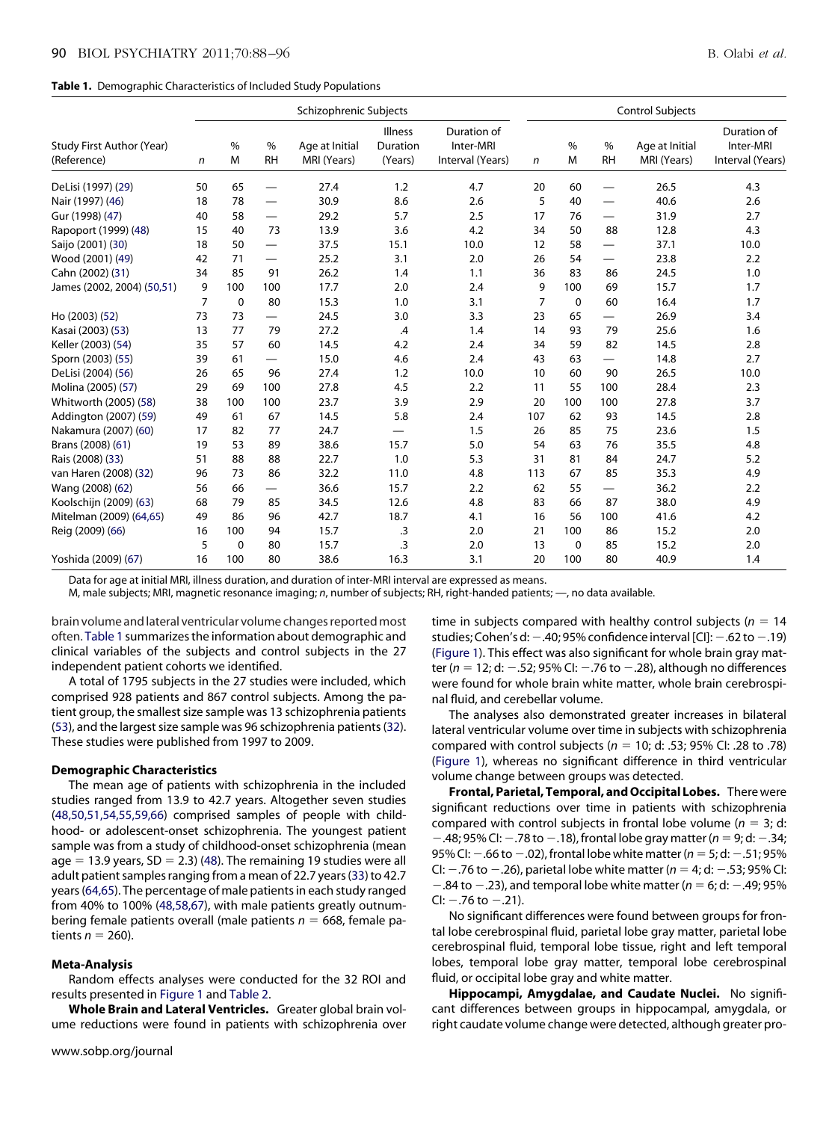#### <span id="page-3-0"></span>**Table 1.** Demographic Characteristics of Included Study Populations

|                                          | Schizophrenic Subjects |           |                                |                               |                                       |                                              |                | <b>Control Subjects</b> |                                 |                               |                                              |  |
|------------------------------------------|------------------------|-----------|--------------------------------|-------------------------------|---------------------------------------|----------------------------------------------|----------------|-------------------------|---------------------------------|-------------------------------|----------------------------------------------|--|
| Study First Author (Year)<br>(Reference) | n                      | $\%$<br>M | $\%$<br><b>RH</b>              | Age at Initial<br>MRI (Years) | <b>Illness</b><br>Duration<br>(Years) | Duration of<br>Inter-MRI<br>Interval (Years) | $\mathsf{n}$   | $\%$<br>M               | $\%$<br><b>RH</b>               | Age at Initial<br>MRI (Years) | Duration of<br>Inter-MRI<br>Interval (Years) |  |
| DeLisi (1997) (29)                       | 50                     | 65        |                                | 27.4                          | 1.2                                   | 4.7                                          | 20             | 60                      | $\qquad \qquad \longleftarrow$  | 26.5                          | 4.3                                          |  |
| Nair (1997) (46)                         | 18                     | 78        |                                | 30.9                          | 8.6                                   | 2.6                                          | 5              | 40                      | $\overbrace{\qquad \qquad }^{}$ | 40.6                          | 2.6                                          |  |
| Gur (1998) (47)                          | 40                     | 58        | $\qquad \qquad -$              | 29.2                          | 5.7                                   | 2.5                                          | 17             | 76                      | $\qquad \qquad \longleftarrow$  | 31.9                          | 2.7                                          |  |
| Rapoport (1999) (48)                     | 15                     | 40        | 73                             | 13.9                          | 3.6                                   | 4.2                                          | 34             | 50                      | 88                              | 12.8                          | 4.3                                          |  |
| Saijo (2001) (30)                        | 18                     | 50        | $\qquad \qquad \longleftarrow$ | 37.5                          | 15.1                                  | 10.0                                         | 12             | 58                      | $\overline{\phantom{0}}$        | 37.1                          | 10.0                                         |  |
| Wood (2001) (49)                         | 42                     | 71        | $\overline{\phantom{m}}$       | 25.2                          | 3.1                                   | 2.0                                          | 26             | 54                      | $\qquad \qquad \longleftarrow$  | 23.8                          | 2.2                                          |  |
| Cahn (2002) (31)                         | 34                     | 85        | 91                             | 26.2                          | 1.4                                   | 1.1                                          | 36             | 83                      | 86                              | 24.5                          | 1.0                                          |  |
| James (2002, 2004) (50,51)               | 9                      | 100       | 100                            | 17.7                          | 2.0                                   | 2.4                                          | 9              | 100                     | 69                              | 15.7                          | 1.7                                          |  |
|                                          | $\overline{7}$         | 0         | 80                             | 15.3                          | 1.0                                   | 3.1                                          | $\overline{7}$ | 0                       | 60                              | 16.4                          | 1.7                                          |  |
| Ho (2003) (52)                           | 73                     | 73        | $\qquad \qquad -$              | 24.5                          | 3.0                                   | 3.3                                          | 23             | 65                      | $\overline{\phantom{0}}$        | 26.9                          | 3.4                                          |  |
| Kasai (2003) (53)                        | 13                     | 77        | 79                             | 27.2                          | $\mathcal{A}$                         | 1.4                                          | 14             | 93                      | 79                              | 25.6                          | 1.6                                          |  |
| Keller (2003) (54)                       | 35                     | 57        | 60                             | 14.5                          | 4.2                                   | 2.4                                          | 34             | 59                      | 82                              | 14.5                          | 2.8                                          |  |
| Sporn (2003) (55)                        | 39                     | 61        | $\qquad \qquad -$              | 15.0                          | 4.6                                   | 2.4                                          | 43             | 63                      | $\overline{\phantom{0}}$        | 14.8                          | 2.7                                          |  |
| DeLisi (2004) (56)                       | 26                     | 65        | 96                             | 27.4                          | 1.2                                   | 10.0                                         | 10             | 60                      | 90                              | 26.5                          | 10.0                                         |  |
| Molina (2005) (57)                       | 29                     | 69        | 100                            | 27.8                          | 4.5                                   | 2.2                                          | 11             | 55                      | 100                             | 28.4                          | 2.3                                          |  |
| Whitworth (2005) (58)                    | 38                     | 100       | 100                            | 23.7                          | 3.9                                   | 2.9                                          | 20             | 100                     | 100                             | 27.8                          | 3.7                                          |  |
| Addington (2007) (59)                    | 49                     | 61        | 67                             | 14.5                          | 5.8                                   | 2.4                                          | 107            | 62                      | 93                              | 14.5                          | 2.8                                          |  |
| Nakamura (2007) (60)                     | 17                     | 82        | 77                             | 24.7                          |                                       | 1.5                                          | 26             | 85                      | 75                              | 23.6                          | 1.5                                          |  |
| Brans (2008) (61)                        | 19                     | 53        | 89                             | 38.6                          | 15.7                                  | 5.0                                          | 54             | 63                      | 76                              | 35.5                          | 4.8                                          |  |
| Rais (2008) (33)                         | 51                     | 88        | 88                             | 22.7                          | 1.0                                   | 5.3                                          | 31             | 81                      | 84                              | 24.7                          | 5.2                                          |  |
| van Haren (2008) (32)                    | 96                     | 73        | 86                             | 32.2                          | 11.0                                  | 4.8                                          | 113            | 67                      | 85                              | 35.3                          | 4.9                                          |  |
| Wang (2008) (62)                         | 56                     | 66        | $\overline{\phantom{0}}$       | 36.6                          | 15.7                                  | 2.2                                          | 62             | 55                      | $\overline{\phantom{0}}$        | 36.2                          | 2.2                                          |  |
| Koolschijn (2009) (63)                   | 68                     | 79        | 85                             | 34.5                          | 12.6                                  | 4.8                                          | 83             | 66                      | 87                              | 38.0                          | 4.9                                          |  |
| Mitelman (2009) (64,65)                  | 49                     | 86        | 96                             | 42.7                          | 18.7                                  | 4.1                                          | 16             | 56                      | 100                             | 41.6                          | 4.2                                          |  |
| Reig (2009) (66)                         | 16                     | 100       | 94                             | 15.7                          | .3                                    | 2.0                                          | 21             | 100                     | 86                              | 15.2                          | 2.0                                          |  |
|                                          | 5                      | 0         | 80                             | 15.7                          | .3                                    | 2.0                                          | 13             | 0                       | 85                              | 15.2                          | 2.0                                          |  |
| Yoshida (2009) (67)                      | 16                     | 100       | 80                             | 38.6                          | 16.3                                  | 3.1                                          | 20             | 100                     | 80                              | 40.9                          | 1.4                                          |  |

Data for age at initial MRI, illness duration, and duration of inter-MRI interval are expressed as means.

M, male subjects; MRI, magnetic resonance imaging; *n*, number of subjects; RH, right-handed patients; —, no data available.

brain volume and lateral ventricular volume changes reported most often. [Table 1](#page-3-0) summarizes the information about demographic and clinical variables of the subjects and control subjects in the 27 independent patient cohorts we identified.

A total of 1795 subjects in the 27 studies were included, which comprised 928 patients and 867 control subjects. Among the patient group, the smallest size sample was 13 schizophrenia patients [\(53\)](#page-8-4), and the largest size sample was 96 schizophrenia patients [\(32\)](#page-7-14). These studies were published from 1997 to 2009.

#### **Demographic Characteristics**

The mean age of patients with schizophrenia in the included studies ranged from 13.9 to 42.7 years. Altogether seven studies [\(48,50,51,54,55,59,66\)](#page-8-5) comprised samples of people with childhood- or adolescent-onset schizophrenia. The youngest patient sample was from a study of childhood-onset schizophrenia (mean age  $= 13.9$  years, SD  $= 2.3$ ) [\(48\)](#page-8-5). The remaining 19 studies were all adult patient samples ranging from a mean of 22.7 years [\(33\)](#page-7-15) to 42.7 years [\(64,65\)](#page-8-6). The percentage of male patients in each study ranged from 40% to 100% [\(48,58,67\)](#page-8-5), with male patients greatly outnumbering female patients overall (male patients  $n = 668$ , female patients  $n = 260$ ).

#### **Meta-Analysis**

Random effects analyses were conducted for the 32 ROI and results presented in [Figure 1](#page-4-0) and [Table 2.](#page-5-0)

**Whole Brain and Lateral Ventricles.** Greater global brain volume reductions were found in patients with schizophrenia over time in subjects compared with healthy control subjects ( $n = 14$ ) studies; Cohen's d:  $-.40$ ; 95% confidence interval [CI]:  $-.62$  to  $-.19$ ) [\(Figure 1\)](#page-4-0). This effect was also significant for whole brain gray matter ( $n = 12$ ; d:  $-.52$ ; 95% CI:  $-.76$  to  $-.28$ ), although no differences were found for whole brain white matter, whole brain cerebrospinal fluid, and cerebellar volume.

The analyses also demonstrated greater increases in bilateral lateral ventricular volume over time in subjects with schizophrenia compared with control subjects ( $n = 10$ ; d: .53; 95% CI: .28 to .78) [\(Figure 1\)](#page-4-0), whereas no significant difference in third ventricular volume change between groups was detected.

**Frontal, Parietal, Temporal, and Occipital Lobes.** There were significant reductions over time in patients with schizophrenia compared with control subjects in frontal lobe volume ( $n = 3$ ; d:  $-.48; 95%$  CI:  $-.78$  to  $-.18$ ), frontal lobe gray matter ( $n = 9;$  d:  $-.34;$ 95% CI:  $-.66$  to  $-.02$ ), frontal lobe white matter ( $n = 5$ ; d:  $-.51$ ; 95% CI:  $-.76$  to  $-.26$ ), parietal lobe white matter ( $n = 4$ ; d:  $-.53$ ; 95% CI:  $-.84$  to  $-.23$ ), and temporal lobe white matter ( $n = 6$ ; d:  $-.49$ ; 95%  $Cl: -.76$  to  $-.21$ ).

No significant differences were found between groups for frontal lobe cerebrospinal fluid, parietal lobe gray matter, parietal lobe cerebrospinal fluid, temporal lobe tissue, right and left temporal lobes, temporal lobe gray matter, temporal lobe cerebrospinal fluid, or occipital lobe gray and white matter.

**Hippocampi, Amygdalae, and Caudate Nuclei.** No significant differences between groups in hippocampal, amygdala, or right caudate volume change were detected, although greater pro-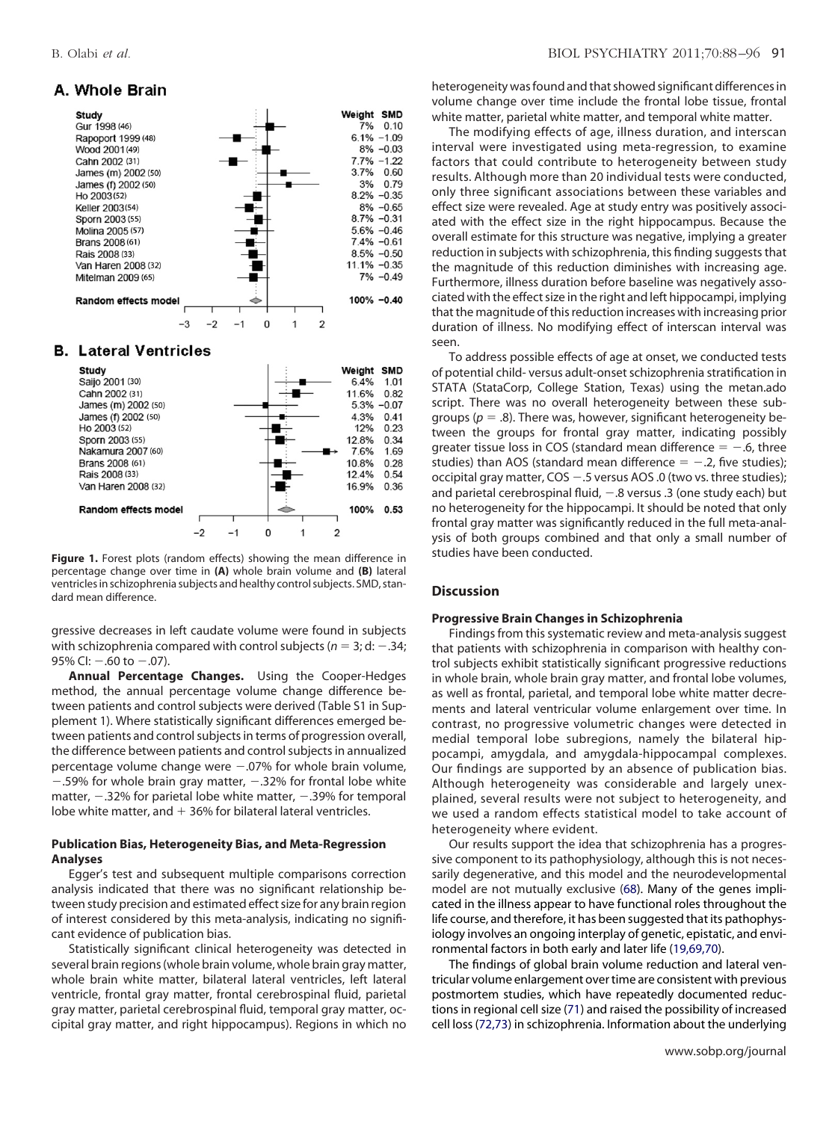# A. Whole Brain



# **B. Lateral Ventricles**



<span id="page-4-0"></span>**Figure 1.** Forest plots (random effects) showing the mean difference in percentage change over time in **(A)** whole brain volume and **(B)** lateral ventricles in schizophrenia subjects and healthy control subjects. SMD, standard mean difference.

gressive decreases in left caudate volume were found in subjects with schizophrenia compared with control subjects ( $n = 3$ ; d:  $-.34$ ; 95% CI:  $-.60$  to  $-.07$ ).

**Annual Percentage Changes.** Using the Cooper-Hedges method, the annual percentage volume change difference between patients and control subjects were derived (Table S1 in Supplement 1). Where statistically significant differences emerged between patients and control subjects in terms of progression overall, the difference between patients and control subjects in annualized percentage volume change were  $-.07%$  for whole brain volume,  $-59%$  for whole brain gray matter,  $-0.32%$  for frontal lobe white matter,  $-.32%$  for parietal lobe white matter,  $-.39%$  for temporal lobe white matter, and  $+$  36% for bilateral lateral ventricles.

## **Publication Bias, Heterogeneity Bias, and Meta-Regression Analyses**

Egger's test and subsequent multiple comparisons correction analysis indicated that there was no significant relationship between study precision and estimated effect size for any brain region of interest considered by this meta-analysis, indicating no significant evidence of publication bias.

Statistically significant clinical heterogeneity was detected in several brain regions (whole brain volume, whole brain gray matter, whole brain white matter, bilateral lateral ventricles, left lateral ventricle, frontal gray matter, frontal cerebrospinal fluid, parietal gray matter, parietal cerebrospinal fluid, temporal gray matter, occipital gray matter, and right hippocampus). Regions in which no heterogeneity wasfound and that showed significant differences in volume change over time include the frontal lobe tissue, frontal white matter, parietal white matter, and temporal white matter.

The modifying effects of age, illness duration, and interscan interval were investigated using meta-regression, to examine factors that could contribute to heterogeneity between study results. Although more than 20 individual tests were conducted, only three significant associations between these variables and effect size were revealed. Age at study entry was positively associated with the effect size in the right hippocampus. Because the overall estimate for this structure was negative, implying a greater reduction in subjects with schizophrenia, this finding suggests that the magnitude of this reduction diminishes with increasing age. Furthermore, illness duration before baseline was negatively associated with the effect size in the right and left hippocampi, implying that the magnitude of this reduction increases with increasing prior duration of illness. No modifying effect of interscan interval was seen.

To address possible effects of age at onset, we conducted tests of potential child- versus adult-onset schizophrenia stratification in STATA (StataCorp, College Station, Texas) using the metan.ado script. There was no overall heterogeneity between these subgroups ( $p = 0.8$ ). There was, however, significant heterogeneity between the groups for frontal gray matter, indicating possibly greater tissue loss in COS (standard mean difference  $= -0.6$ , three studies) than AOS (standard mean difference  $= -0.2$ , five studies); occipital gray matter,  $COS - .5$  versus AOS .0 (two vs. three studies); and parietal cerebrospinal fluid,  $-.8$  versus .3 (one study each) but no heterogeneity for the hippocampi. It should be noted that only frontal gray matter was significantly reduced in the full meta-analysis of both groups combined and that only a small number of studies have been conducted.

# **Discussion**

#### **Progressive Brain Changes in Schizophrenia**

Findings from this systematic review and meta-analysis suggest that patients with schizophrenia in comparison with healthy control subjects exhibit statistically significant progressive reductions in whole brain, whole brain gray matter, and frontal lobe volumes, as well as frontal, parietal, and temporal lobe white matter decrements and lateral ventricular volume enlargement over time. In contrast, no progressive volumetric changes were detected in medial temporal lobe subregions, namely the bilateral hippocampi, amygdala, and amygdala-hippocampal complexes. Our findings are supported by an absence of publication bias. Although heterogeneity was considerable and largely unexplained, several results were not subject to heterogeneity, and we used a random effects statistical model to take account of heterogeneity where evident.

Our results support the idea that schizophrenia has a progressive component to its pathophysiology, although this is not necessarily degenerative, and this model and the neurodevelopmental model are not mutually exclusive [\(68\)](#page-8-24). Many of the genes implicated in the illness appear to have functional roles throughout the life course, and therefore, it has been suggested that its pathophysiology involves an ongoing interplay of genetic, epistatic, and environmental factors in both early and later life [\(19,69,70\)](#page-7-18).

The findings of global brain volume reduction and lateral ventricular volume enlargement over time are consistent with previous postmortem studies, which have repeatedly documented reductions in regional cell size [\(71\)](#page-8-25) and raised the possibility of increased cell loss [\(72,73\)](#page-8-26) in schizophrenia. Information about the underlying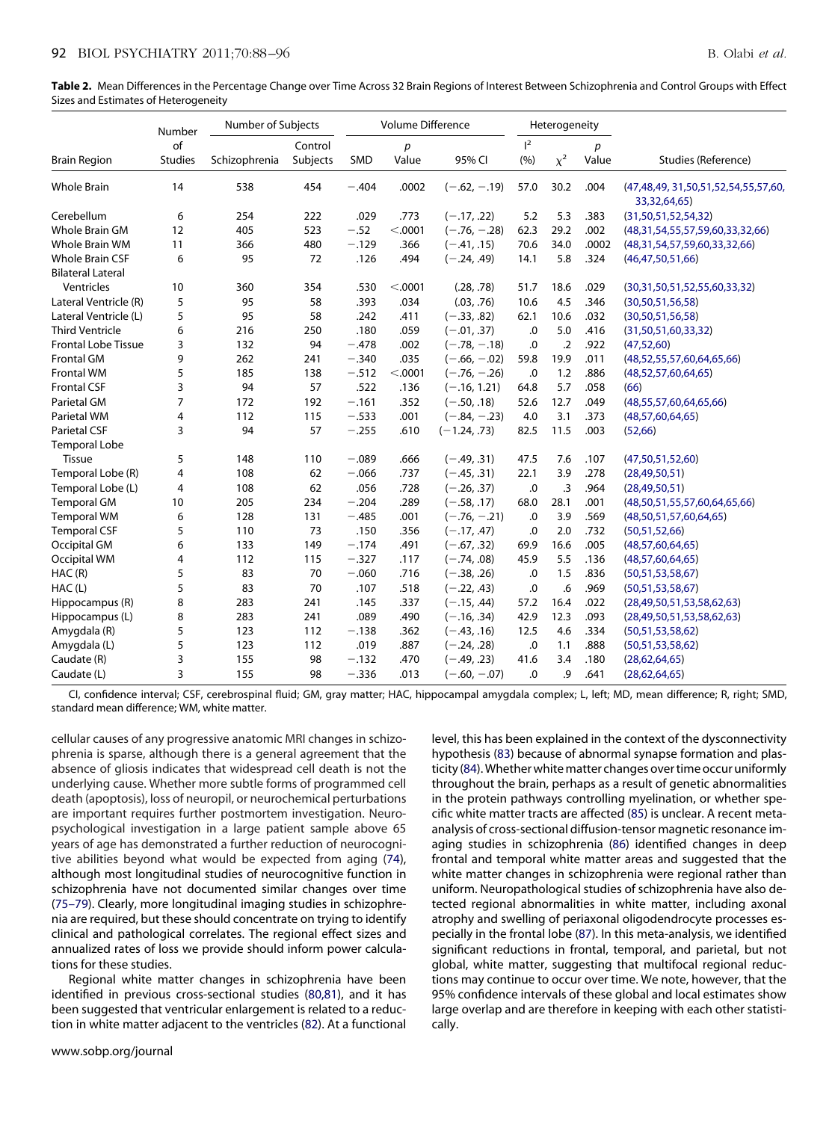<span id="page-5-0"></span>**Table 2.** Mean Differences in the Percentage Change over Time Across 32 Brain Regions of Interest Between Schizophrenia and Control Groups with Effect Sizes and Estimates of Heterogeneity

|                                                    | Number         | <b>Number of Subjects</b> |          | <b>Volume Difference</b> |         |                | Heterogeneity  |            |       |                                                        |  |
|----------------------------------------------------|----------------|---------------------------|----------|--------------------------|---------|----------------|----------------|------------|-------|--------------------------------------------------------|--|
|                                                    | of             |                           | Control  |                          | р       |                | $\mathsf{I}^2$ |            | p     |                                                        |  |
| <b>Brain Region</b>                                | <b>Studies</b> | Schizophrenia             | Subjects | SMD                      | Value   | 95% CI         | (% )           | $\chi^2$   | Value | Studies (Reference)                                    |  |
| <b>Whole Brain</b>                                 | 14             | 538                       | 454      | $-.404$                  | .0002   | $(-.62, -.19)$ | 57.0           | 30.2       | .004  | (47,48,49, 31,50,51,52,54,55,57,60,<br>33, 32, 64, 65) |  |
| Cerebellum                                         | 6              | 254                       | 222      | .029                     | .773    | $(-.17, .22)$  | 5.2            | 5.3        | .383  | (31, 50, 51, 52, 54, 32)                               |  |
| <b>Whole Brain GM</b>                              | 12             | 405                       | 523      | $-.52$                   | < .0001 | $(-.76, -.28)$ | 62.3           | 29.2       | .002  | (48, 31, 54, 55, 57, 59, 60, 33, 32, 66)               |  |
| Whole Brain WM                                     | 11             | 366                       | 480      | $-.129$                  | .366    | $(-.41, .15)$  | 70.6           | 34.0       | .0002 | (48,31,54,57,59,60,33,32,66)                           |  |
| <b>Whole Brain CSF</b><br><b>Bilateral Lateral</b> | 6              | 95                        | 72       | .126                     | .494    | $(-.24, .49)$  | 14.1           | 5.8        | .324  | (46, 47, 50, 51, 66)                                   |  |
| Ventricles                                         | 10             | 360                       | 354      | .530                     | < .0001 | (.28, .78)     | 51.7           | 18.6       | .029  | (30,31,50,51,52,55,60,33,32)                           |  |
| Lateral Ventricle (R)                              | 5              | 95                        | 58       | .393                     | .034    | (.03, .76)     | 10.6           | 4.5        | .346  | (30,50,51,56,58)                                       |  |
| Lateral Ventricle (L)                              | 5              | 95                        | 58       | .242                     | .411    | $(-.33, .82)$  | 62.1           | 10.6       | .032  | (30,50,51,56,58)                                       |  |
| <b>Third Ventricle</b>                             | 6              | 216                       | 250      | .180                     | .059    | $(-.01, .37)$  | 0.             | 5.0        | .416  | (31,50,51,60,33,32)                                    |  |
| <b>Frontal Lobe Tissue</b>                         | 3              | 132                       | 94       | $-.478$                  | .002    | $(-.78, -.18)$ | .0             | $\cdot$ .2 | .922  | (47,52,60)                                             |  |
| <b>Frontal GM</b>                                  | 9              | 262                       | 241      | $-.340$                  | .035    | $(-.66, -.02)$ | 59.8           | 19.9       | .011  | (48,52,55,57,60,64,65,66)                              |  |
| <b>Frontal WM</b>                                  | 5              | 185                       | 138      | $-.512$                  | < .0001 | $(-.76, -.26)$ | 0.             | 1.2        | .886  | (48,52,57,60,64,65)                                    |  |
| <b>Frontal CSF</b>                                 | 3              | 94                        | 57       | .522                     | .136    | $(-.16, 1.21)$ | 64.8           | 5.7        | .058  | (66)                                                   |  |
| Parietal GM                                        | $\overline{7}$ | 172                       | 192      | $-.161$                  | .352    | $(-.50, .18)$  | 52.6           | 12.7       | .049  | (48,55,57,60,64,65,66)                                 |  |
| <b>Parietal WM</b>                                 | 4              | 112                       | 115      | $-.533$                  | .001    | $(-.84, -.23)$ | 4.0            | 3.1        | .373  | (48, 57, 60, 64, 65)                                   |  |
| <b>Parietal CSF</b>                                | 3              | 94                        | 57       | $-.255$                  | .610    | $(-1.24, .73)$ | 82.5           | 11.5       | .003  | (52,66)                                                |  |
| <b>Temporal Lobe</b>                               |                |                           |          |                          |         |                |                |            |       |                                                        |  |
| <b>Tissue</b>                                      | 5              | 148                       | 110      | $-.089$                  | .666    | $(-.49, .31)$  | 47.5           | 7.6        | .107  | (47,50,51,52,60)                                       |  |
| Temporal Lobe (R)                                  | $\overline{4}$ | 108                       | 62       | $-.066$                  | .737    | $(-.45, .31)$  | 22.1           | 3.9        | .278  | (28, 49, 50, 51)                                       |  |
| Temporal Lobe (L)                                  | $\overline{4}$ | 108                       | 62       | .056                     | .728    | $(-.26, .37)$  | .0             | .3         | .964  | (28, 49, 50, 51)                                       |  |
| <b>Temporal GM</b>                                 | 10             | 205                       | 234      | $-.204$                  | .289    | $(-.58, .17)$  | 68.0           | 28.1       | .001  | (48,50,51,55,57,60,64,65,66)                           |  |
| <b>Temporal WM</b>                                 | 6              | 128                       | 131      | $-.485$                  | .001    | $(-.76, -.21)$ | $\cdot$        | 3.9        | .569  | (48,50,51,57,60,64,65)                                 |  |
| <b>Temporal CSF</b>                                | 5              | 110                       | 73       | .150                     | .356    | $(-.17, .47)$  | 0.             | 2.0        | .732  | (50,51,52,66)                                          |  |
| Occipital GM                                       | 6              | 133                       | 149      | $-.174$                  | .491    | $(-.67, .32)$  | 69.9           | 16.6       | .005  | (48, 57, 60, 64, 65)                                   |  |
| Occipital WM                                       | 4              | 112                       | 115      | $-.327$                  | .117    | $(-.74, .08)$  | 45.9           | 5.5        | .136  | (48, 57, 60, 64, 65)                                   |  |
| HAC(R)                                             | 5              | 83                        | 70       | $-.060$                  | .716    | $(-.38, .26)$  | 0.             | 1.5        | .836  | (50,51,53,58,67)                                       |  |
| HAC(L)                                             | 5              | 83                        | 70       | .107                     | .518    | $(-.22, .43)$  | .0             | .6         | .969  | (50,51,53,58,67)                                       |  |
| Hippocampus (R)                                    | 8              | 283                       | 241      | .145                     | .337    | $(-.15, .44)$  | 57.2           | 16.4       | .022  | (28,49,50,51,53,58,62,63)                              |  |
| Hippocampus (L)                                    | 8              | 283                       | 241      | .089                     | .490    | $(-.16, .34)$  | 42.9           | 12.3       | .093  | (28,49,50,51,53,58,62,63)                              |  |
| Amygdala (R)                                       | 5              | 123                       | 112      | $-.138$                  | .362    | $(-.43, .16)$  | 12.5           | 4.6        | .334  | (50,51,53,58,62)                                       |  |
| Amygdala (L)                                       | 5              | 123                       | 112      | .019                     | .887    | $(-.24, .28)$  | .0             | 1.1        | .888  | (50,51,53,58,62)                                       |  |
| Caudate (R)                                        | 3              | 155                       | 98       | $-.132$                  | .470    | $(-.49, .23)$  | 41.6           | 3.4        | .180  | (28, 62, 64, 65)                                       |  |
| Caudate (L)                                        | 3              | 155                       | 98       | $-.336$                  | .013    | $(-.60, -.07)$ | .0             | .9         | .641  | (28,62,64,65)                                          |  |

CI, confidence interval; CSF, cerebrospinal fluid; GM, gray matter; HAC, hippocampal amygdala complex; L, left; MD, mean difference; R, right; SMD, standard mean difference; WM, white matter.

cellular causes of any progressive anatomic MRI changes in schizophrenia is sparse, although there is a general agreement that the absence of gliosis indicates that widespread cell death is not the underlying cause. Whether more subtle forms of programmed cell death (apoptosis), loss of neuropil, or neurochemical perturbations are important requires further postmortem investigation. Neuropsychological investigation in a large patient sample above 65 years of age has demonstrated a further reduction of neurocognitive abilities beyond what would be expected from aging [\(74\)](#page-8-27), although most longitudinal studies of neurocognitive function in schizophrenia have not documented similar changes over time [\(75–79\)](#page-8-28). Clearly, more longitudinal imaging studies in schizophrenia are required, but these should concentrate on trying to identify clinical and pathological correlates. The regional effect sizes and annualized rates of loss we provide should inform power calculations for these studies.

Regional white matter changes in schizophrenia have been identified in previous cross-sectional studies [\(80,81\)](#page-8-29), and it has been suggested that ventricular enlargement is related to a reduction in white matter adjacent to the ventricles [\(82\)](#page-8-30). At a functional

level, this has been explained in the context of the dysconnectivity hypothesis [\(83\)](#page-8-31) because of abnormal synapse formation and plasticity[\(84\)](#page-8-32). Whether white matter changes over time occur uniformly throughout the brain, perhaps as a result of genetic abnormalities in the protein pathways controlling myelination, or whether specific white matter tracts are affected [\(85\)](#page-8-33) is unclear. A recent metaanalysis of cross-sectional diffusion-tensor magnetic resonance imaging studies in schizophrenia [\(86\)](#page-8-34) identified changes in deep frontal and temporal white matter areas and suggested that the white matter changes in schizophrenia were regional rather than uniform. Neuropathological studies of schizophrenia have also detected regional abnormalities in white matter, including axonal atrophy and swelling of periaxonal oligodendrocyte processes especially in the frontal lobe [\(87\)](#page-9-0). In this meta-analysis, we identified significant reductions in frontal, temporal, and parietal, but not global, white matter, suggesting that multifocal regional reductions may continue to occur over time. We note, however, that the 95% confidence intervals of these global and local estimates show large overlap and are therefore in keeping with each other statistically.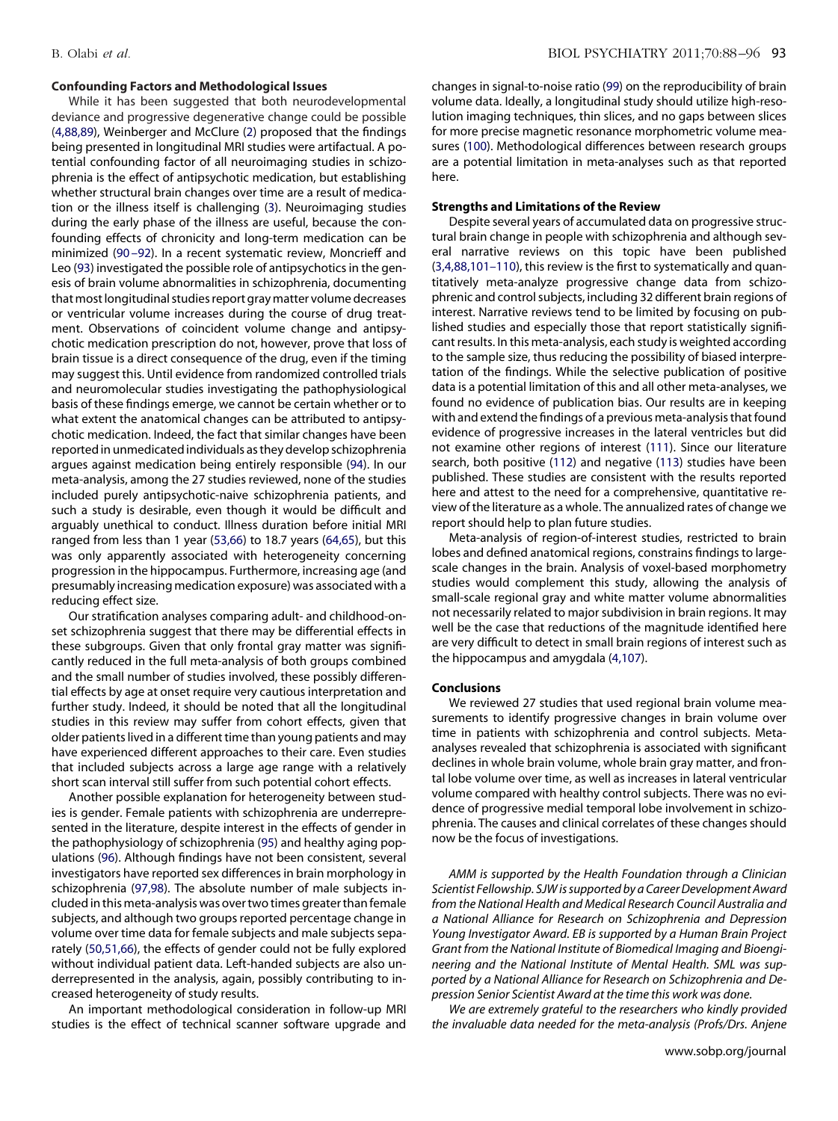#### **Confounding Factors and Methodological Issues**

While it has been suggested that both neurodevelopmental deviance and progressive degenerative change could be possible [\(4,88,89\)](#page-7-20), Weinberger and McClure [\(2\)](#page-7-1) proposed that the findings being presented in longitudinal MRI studies were artifactual. A potential confounding factor of all neuroimaging studies in schizophrenia is the effect of antipsychotic medication, but establishing whether structural brain changes over time are a result of medication or the illness itself is challenging [\(3\)](#page-7-21). Neuroimaging studies during the early phase of the illness are useful, because the confounding effects of chronicity and long-term medication can be minimized [\(90 –92\)](#page-9-1). In a recent systematic review, Moncrieff and Leo [\(93\)](#page-9-2) investigated the possible role of antipsychotics in the genesis of brain volume abnormalities in schizophrenia, documenting that most longitudinal studies report gray matter volume decreases or ventricular volume increases during the course of drug treatment. Observations of coincident volume change and antipsychotic medication prescription do not, however, prove that loss of brain tissue is a direct consequence of the drug, even if the timing may suggest this. Until evidence from randomized controlled trials and neuromolecular studies investigating the pathophysiological basis of these findings emerge, we cannot be certain whether or to what extent the anatomical changes can be attributed to antipsychotic medication. Indeed, the fact that similar changes have been reported in unmedicated individuals as they develop schizophrenia argues against medication being entirely responsible [\(94\)](#page-9-3). In our meta-analysis, among the 27 studies reviewed, none of the studies included purely antipsychotic-naive schizophrenia patients, and such a study is desirable, even though it would be difficult and arguably unethical to conduct. Illness duration before initial MRI ranged from less than 1 year [\(53,66\)](#page-8-4) to 18.7 years [\(64,65\)](#page-8-6), but this was only apparently associated with heterogeneity concerning progression in the hippocampus. Furthermore, increasing age (and presumably increasing medication exposure) was associated with a reducing effect size.

Our stratification analyses comparing adult- and childhood-onset schizophrenia suggest that there may be differential effects in these subgroups. Given that only frontal gray matter was significantly reduced in the full meta-analysis of both groups combined and the small number of studies involved, these possibly differential effects by age at onset require very cautious interpretation and further study. Indeed, it should be noted that all the longitudinal studies in this review may suffer from cohort effects, given that older patients lived in a different time than young patients and may have experienced different approaches to their care. Even studies that included subjects across a large age range with a relatively short scan interval still suffer from such potential cohort effects.

Another possible explanation for heterogeneity between studies is gender. Female patients with schizophrenia are underrepresented in the literature, despite interest in the effects of gender in the pathophysiology of schizophrenia [\(95\)](#page-9-4) and healthy aging populations [\(96\)](#page-9-5). Although findings have not been consistent, several investigators have reported sex differences in brain morphology in schizophrenia [\(97,98\)](#page-9-6). The absolute number of male subjects included in this meta-analysis was over two times greater than female subjects, and although two groups reported percentage change in volume over time data for female subjects and male subjects separately [\(50,51,66\)](#page-8-10), the effects of gender could not be fully explored without individual patient data. Left-handed subjects are also underrepresented in the analysis, again, possibly contributing to increased heterogeneity of study results.

An important methodological consideration in follow-up MRI studies is the effect of technical scanner software upgrade and changes in signal-to-noise ratio [\(99\)](#page-9-7) on the reproducibility of brain volume data. Ideally, a longitudinal study should utilize high-resolution imaging techniques, thin slices, and no gaps between slices for more precise magnetic resonance morphometric volume measures [\(100\)](#page-9-8). Methodological differences between research groups are a potential limitation in meta-analyses such as that reported here.

#### **Strengths and Limitations of the Review**

Despite several years of accumulated data on progressive structural brain change in people with schizophrenia and although several narrative reviews on this topic have been published [\(3,4,88,101–110\)](#page-7-21), this review is the first to systematically and quantitatively meta-analyze progressive change data from schizophrenic and control subjects, including 32 different brain regions of interest. Narrative reviews tend to be limited by focusing on published studies and especially those that report statistically significant results. In this meta-analysis, each study is weighted according to the sample size, thus reducing the possibility of biased interpretation of the findings. While the selective publication of positive data is a potential limitation of this and all other meta-analyses, we found no evidence of publication bias. Our results are in keeping with and extend the findings of a previous meta-analysis that found evidence of progressive increases in the lateral ventricles but did not examine other regions of interest [\(111\)](#page-9-9). Since our literature search, both positive [\(112\)](#page-9-10) and negative [\(113\)](#page-9-11) studies have been published. These studies are consistent with the results reported here and attest to the need for a comprehensive, quantitative review of the literature as a whole. The annualized rates of change we report should help to plan future studies.

Meta-analysis of region-of-interest studies, restricted to brain lobes and defined anatomical regions, constrains findings to largescale changes in the brain. Analysis of voxel-based morphometry studies would complement this study, allowing the analysis of small-scale regional gray and white matter volume abnormalities not necessarily related to major subdivision in brain regions. It may well be the case that reductions of the magnitude identified here are very difficult to detect in small brain regions of interest such as the hippocampus and amygdala [\(4,107\)](#page-7-20).

#### **Conclusions**

We reviewed 27 studies that used regional brain volume measurements to identify progressive changes in brain volume over time in patients with schizophrenia and control subjects. Metaanalyses revealed that schizophrenia is associated with significant declines in whole brain volume, whole brain gray matter, and frontal lobe volume over time, as well as increases in lateral ventricular volume compared with healthy control subjects. There was no evidence of progressive medial temporal lobe involvement in schizophrenia. The causes and clinical correlates of these changes should now be the focus of investigations.

*AMM is supported by the Health Foundation through a Clinician Scientist Fellowship. SJW is supported by a Career Development Award from the National Health and Medical Research Council Australia and a National Alliance for Research on Schizophrenia and Depression Young Investigator Award. EB is supported by a Human Brain Project Grant from the National Institute of Biomedical Imaging and Bioengineering and the National Institute of Mental Health. SML was supported by a National Alliance for Research on Schizophrenia and Depression Senior Scientist Award at the time this work was done.*

*We are extremely grateful to the researchers who kindly provided the invaluable data needed for the meta-analysis (Profs/Drs. Anjene*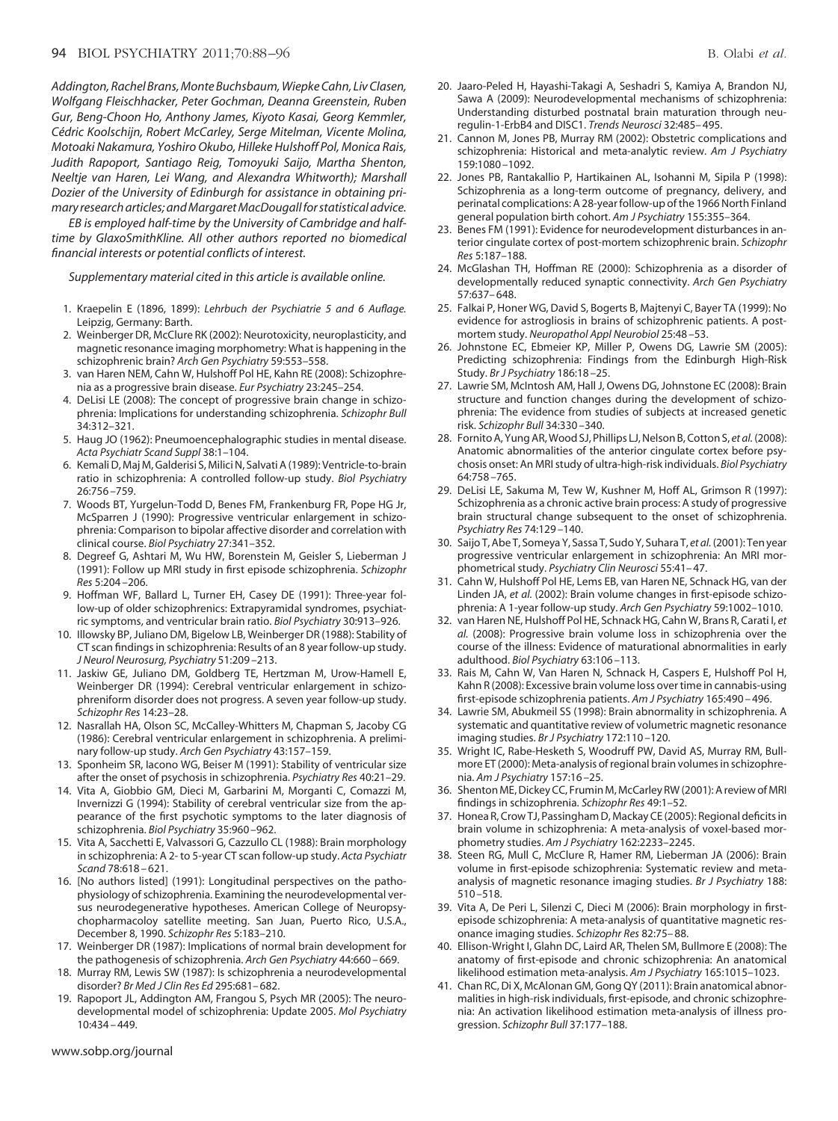<span id="page-7-19"></span>*Addington, Rachel Brans,Monte Buchsbaum,Wiepke Cahn, Liv Clasen, Wolfgang Fleischhacker, Peter Gochman, Deanna Greenstein, Ruben Gur, Beng-Choon Ho, Anthony James, Kiyoto Kasai, Georg Kemmler, Cédric Koolschijn, Robert McCarley, Serge Mitelman, Vicente Molina, Motoaki Nakamura, Yoshiro Okubo, Hilleke Hulshoff Pol, Monica Rais, Judith Rapoport, Santiago Reig, Tomoyuki Saijo, Martha Shenton, Neeltje van Haren, Lei Wang, and Alexandra Whitworth); Marshall Dozier of the University of Edinburgh for assistance in obtaining primary research articles; andMargaretMacDougallfor statistical advice.*

*EB is employed half-time by the University of Cambridge and halftime by GlaxoSmithKline. All other authors reported no biomedical financial interests or potential conflicts of interest.*

*Supplementary material cited in this article is available online.*

- <span id="page-7-1"></span><span id="page-7-0"></span>1. Kraepelin E (1896, 1899): *Lehrbuch der Psychiatrie 5 and 6 Auflage.* Leipzig, Germany: Barth.
- 2. Weinberger DR, McClure RK (2002): Neurotoxicity, neuroplasticity, and magnetic resonance imaging morphometry: What is happening in the schizophrenic brain? *Arch Gen Psychiatry* 59:553–558.
- <span id="page-7-21"></span><span id="page-7-20"></span>3. van Haren NEM, Cahn W, Hulshoff Pol HE, Kahn RE (2008): Schizophrenia as a progressive brain disease. *Eur Psychiatry* 23:245–254.
- 4. DeLisi LE (2008): The concept of progressive brain change in schizophrenia: Implications for understanding schizophrenia. *Schizophr Bull* 34:312–321.
- <span id="page-7-2"></span>5. Haug JO (1962): Pneumoencephalographic studies in mental disease. *Acta Psychiatr Scand Suppl* 38:1–104.
- 6. Kemali D, Maj M, Galderisi S, Milici N, Salvati A (1989): Ventricle-to-brain ratio in schizophrenia: A controlled follow-up study. *Biol Psychiatry* 26:756 –759.
- 7. Woods BT, Yurgelun-Todd D, Benes FM, Frankenburg FR, Pope HG Jr, McSparren J (1990): Progressive ventricular enlargement in schizophrenia: Comparison to bipolar affective disorder and correlation with clinical course. *Biol Psychiatry* 27:341–352.
- <span id="page-7-3"></span>8. Degreef G, Ashtari M, Wu HW, Borenstein M, Geisler S, Lieberman J (1991): Follow up MRI study in first episode schizophrenia. *Schizophr Res* 5:204 –206.
- 9. Hoffman WF, Ballard L, Turner EH, Casey DE (1991): Three-year follow-up of older schizophrenics: Extrapyramidal syndromes, psychiatric symptoms, and ventricular brain ratio. *Biol Psychiatry* 30:913–926.
- 10. Illowsky BP, Juliano DM, Bigelow LB, Weinberger DR (1988): Stability of CT scan findings in schizophrenia: Results of an 8 year follow-up study. *J Neurol Neurosurg, Psychiatry* 51:209 –213.
- 11. Jaskiw GE, Juliano DM, Goldberg TE, Hertzman M, Urow-Hamell E, Weinberger DR (1994): Cerebral ventricular enlargement in schizophreniform disorder does not progress. A seven year follow-up study. *Schizophr Res* 14:23–28.
- 12. Nasrallah HA, Olson SC, McCalley-Whitters M, Chapman S, Jacoby CG (1986): Cerebral ventricular enlargement in schizophrenia. A preliminary follow-up study. *Arch Gen Psychiatry* 43:157–159.
- 13. Sponheim SR, Iacono WG, Beiser M (1991): Stability of ventricular size after the onset of psychosis in schizophrenia. *Psychiatry Res* 40:21–29.
- 14. Vita A, Giobbio GM, Dieci M, Garbarini M, Morganti C, Comazzi M, Invernizzi G (1994): Stability of cerebral ventricular size from the appearance of the first psychotic symptoms to the later diagnosis of schizophrenia. *Biol Psychiatry* 35:960 –962.
- <span id="page-7-4"></span>15. Vita A, Sacchetti E, Valvassori G, Cazzullo CL (1988): Brain morphology in schizophrenia: A 2- to 5-year CT scan follow-up study. *Acta Psychiatr Scand* 78:618 – 621.
- 16. [No authors listed] (1991): Longitudinal perspectives on the pathophysiology of schizophrenia. Examining the neurodevelopmental versus neurodegenerative hypotheses. American College of Neuropsychopharmacoloy satellite meeting. San Juan, Puerto Rico, U.S.A., December 8, 1990. *Schizophr Res* 5:183–210.
- <span id="page-7-5"></span>17. Weinberger DR (1987): Implications of normal brain development for the pathogenesis of schizophrenia. *Arch Gen Psychiatry* 44:660 – 669.
- <span id="page-7-18"></span>18. Murray RM, Lewis SW (1987): Is schizophrenia a neurodevelopmental disorder? *Br Med J Clin Res Ed* 295:681– 682.
- 19. Rapoport JL, Addington AM, Frangou S, Psych MR (2005): The neurodevelopmental model of schizophrenia: Update 2005. *Mol Psychiatry* 10:434 – 449.
- 20. Jaaro-Peled H, Hayashi-Takagi A, Seshadri S, Kamiya A, Brandon NJ, Sawa A (2009): Neurodevelopmental mechanisms of schizophrenia: Understanding disturbed postnatal brain maturation through neuregulin-1-ErbB4 and DISC1. *Trends Neurosci* 32:485– 495.
- <span id="page-7-6"></span>21. Cannon M, Jones PB, Murray RM (2002): Obstetric complications and schizophrenia: Historical and meta-analytic review. *Am J Psychiatry* 159:1080 –1092.
- 22. Jones PB, Rantakallio P, Hartikainen AL, Isohanni M, Sipila P (1998): Schizophrenia as a long-term outcome of pregnancy, delivery, and perinatal complications: A 28-year follow-up of the 1966 North Finland general population birth cohort. *Am J Psychiatry* 155:355–364.
- <span id="page-7-7"></span>23. Benes FM (1991): Evidence for neurodevelopment disturbances in anterior cingulate cortex of post-mortem schizophrenic brain. *Schizophr Res* 5:187–188.
- 24. McGlashan TH, Hoffman RE (2000): Schizophrenia as a disorder of developmentally reduced synaptic connectivity. *Arch Gen Psychiatry* 57:637– 648.
- <span id="page-7-8"></span>25. Falkai P, Honer WG, David S, Bogerts B, Majtenyi C, Bayer TA (1999): No evidence for astrogliosis in brains of schizophrenic patients. A postmortem study. *Neuropathol Appl Neurobiol* 25:48 –53.
- <span id="page-7-9"></span>26. Johnstone EC, Ebmeier KP, Miller P, Owens DG, Lawrie SM (2005): Predicting schizophrenia: Findings from the Edinburgh High-Risk Study. *Br J Psychiatry* 186:18 –25.
- 27. Lawrie SM, McIntosh AM, Hall J, Owens DG, Johnstone EC (2008): Brain structure and function changes during the development of schizophrenia: The evidence from studies of subjects at increased genetic risk. *Schizophr Bull* 34:330 –340.
- 28. Fornito A, Yung AR,Wood SJ, Phillips LJ, Nelson B, Cotton S, *et al.*(2008): Anatomic abnormalities of the anterior cingulate cortex before psychosis onset: An MRI study of ultra-high-risk individuals. *Biol Psychiatry* 64:758 –765.
- <span id="page-7-10"></span>29. DeLisi LE, Sakuma M, Tew W, Kushner M, Hoff AL, Grimson R (1997): Schizophrenia as a chronic active brain process: A study of progressive brain structural change subsequent to the onset of schizophrenia. *Psychiatry Res* 74:129 –140.
- <span id="page-7-16"></span>30. Saijo T, Abe T, Someya Y, Sassa T, Sudo Y, Suhara T, *et al.*(2001): Ten year progressive ventricular enlargement in schizophrenia: An MRI morphometrical study. *Psychiatry Clin Neurosci* 55:41– 47.
- <span id="page-7-17"></span>31. Cahn W, Hulshoff Pol HE, Lems EB, van Haren NE, Schnack HG, van der Linden JA, *et al.* (2002): Brain volume changes in first-episode schizophrenia: A 1-year follow-up study. *Arch Gen Psychiatry* 59:1002–1010.
- <span id="page-7-14"></span>32. van Haren NE, Hulshoff Pol HE, Schnack HG, Cahn W, Brans R, Carati I, *et al.* (2008): Progressive brain volume loss in schizophrenia over the course of the illness: Evidence of maturational abnormalities in early adulthood. *Biol Psychiatry* 63:106 –113.
- <span id="page-7-15"></span><span id="page-7-11"></span>33. Rais M, Cahn W, Van Haren N, Schnack H, Caspers E, Hulshoff Pol H, Kahn R (2008): Excessive brain volume loss over time in cannabis-using first-episode schizophrenia patients. *Am J Psychiatry* 165:490 – 496.
- 34. Lawrie SM, Abukmeil SS (1998): Brain abnormality in schizophrenia. A systematic and quantitative review of volumetric magnetic resonance imaging studies. *Br J Psychiatry* 172:110 –120.
- 35. Wright IC, Rabe-Hesketh S, Woodruff PW, David AS, Murray RM, Bullmore ET (2000): Meta-analysis of regional brain volumes in schizophrenia. *Am J Psychiatry* 157:16 –25.
- 36. Shenton ME, Dickey CC, Frumin M, McCarley RW(2001): A review of MRI findings in schizophrenia. *Schizophr Res* 49:1–52.
- <span id="page-7-12"></span>37. Honea R, Crow TJ, Passingham D, Mackay CE (2005): Regional deficits in brain volume in schizophrenia: A meta-analysis of voxel-based morphometry studies. *Am J Psychiatry* 162:2233–2245.
- 38. Steen RG, Mull C, McClure R, Hamer RM, Lieberman JA (2006): Brain volume in first-episode schizophrenia: Systematic review and metaanalysis of magnetic resonance imaging studies. *Br J Psychiatry* 188: 510 –518.
- <span id="page-7-13"></span>39. Vita A, De Peri L, Silenzi C, Dieci M (2006): Brain morphology in firstepisode schizophrenia: A meta-analysis of quantitative magnetic resonance imaging studies. *Schizophr Res* 82:75– 88.
- 40. Ellison-Wright I, Glahn DC, Laird AR, Thelen SM, Bullmore E (2008): The anatomy of first-episode and chronic schizophrenia: An anatomical likelihood estimation meta-analysis. *Am J Psychiatry* 165:1015–1023.
- 41. Chan RC, Di X, McAlonan GM, Gong QY (2011): Brain anatomical abnormalities in high-risk individuals, first-episode, and chronic schizophrenia: An activation likelihood estimation meta-analysis of illness progression. *Schizophr Bull* 37:177–188.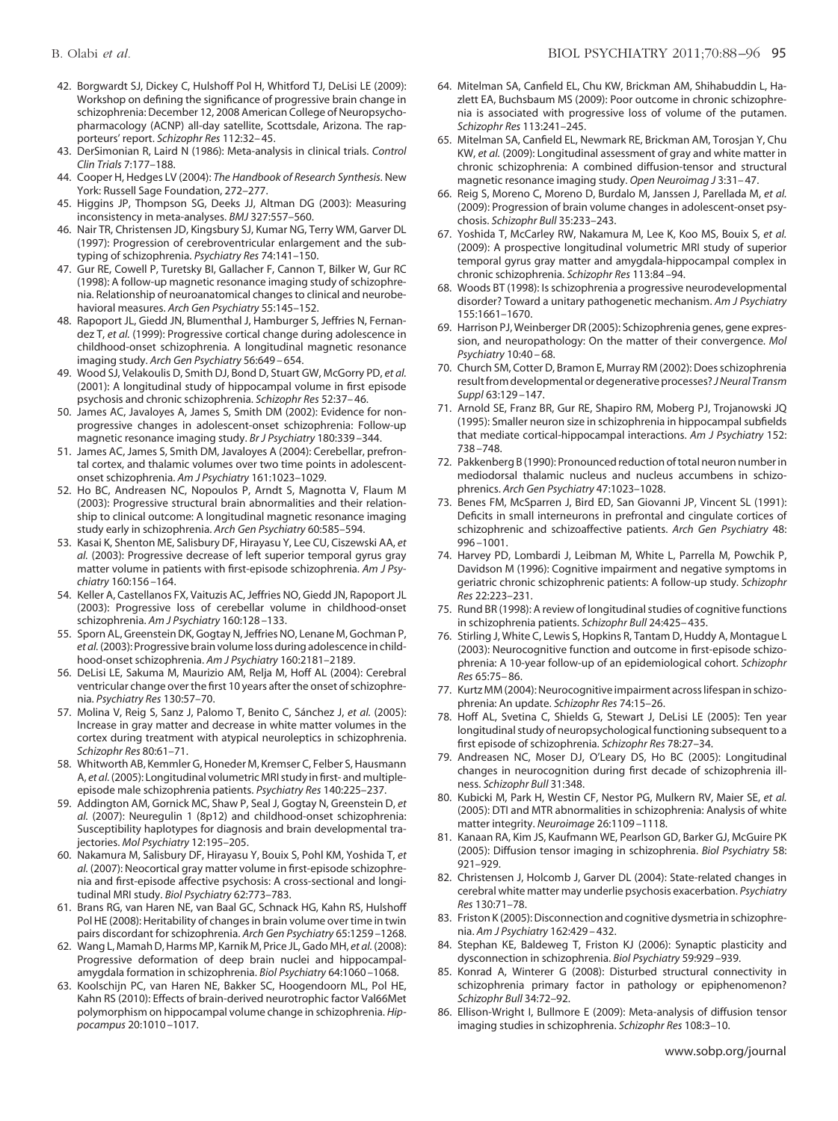- <span id="page-8-35"></span><span id="page-8-0"></span>42. Borgwardt SJ, Dickey C, Hulshoff Pol H, Whitford TJ, DeLisi LE (2009): Workshop on defining the significance of progressive brain change in schizophrenia: December 12, 2008 American College of Neuropsychopharmacology (ACNP) all-day satellite, Scottsdale, Arizona. The rapporteurs' report. *Schizophr Res* 112:32– 45.
- <span id="page-8-1"></span>43. DerSimonian R, Laird N (1986): Meta-analysis in clinical trials. *Control Clin Trials* 7:177–188.
- <span id="page-8-2"></span>44. Cooper H, Hedges LV (2004): *The Handbook of Research Synthesis*. New York: Russell Sage Foundation, 272–277.
- <span id="page-8-7"></span><span id="page-8-3"></span>45. Higgins JP, Thompson SG, Deeks JJ, Altman DG (2003): Measuring inconsistency in meta-analyses. *BMJ* 327:557–560.
- 46. Nair TR, Christensen JD, Kingsbury SJ, Kumar NG, Terry WM, Garver DL (1997): Progression of cerebroventricular enlargement and the subtyping of schizophrenia. *Psychiatry Res* 74:141–150.
- <span id="page-8-8"></span>47. Gur RE, Cowell P, Turetsky BI, Gallacher F, Cannon T, Bilker W, Gur RC (1998): A follow-up magnetic resonance imaging study of schizophrenia. Relationship of neuroanatomical changes to clinical and neurobehavioral measures. *Arch Gen Psychiatry* 55:145–152.
- <span id="page-8-5"></span>48. Rapoport JL, Giedd JN, Blumenthal J, Hamburger S, Jeffries N, Fernandez T, *et al.* (1999): Progressive cortical change during adolescence in childhood-onset schizophrenia. A longitudinal magnetic resonance imaging study. *Arch Gen Psychiatry* 56:649 – 654.
- <span id="page-8-9"></span>49. Wood SJ, Velakoulis D, Smith DJ, Bond D, Stuart GW, McGorry PD, *et al.* (2001): A longitudinal study of hippocampal volume in first episode psychosis and chronic schizophrenia. *Schizophr Res* 52:37– 46.
- <span id="page-8-10"></span>50. James AC, Javaloyes A, James S, Smith DM (2002): Evidence for nonprogressive changes in adolescent-onset schizophrenia: Follow-up magnetic resonance imaging study. *Br J Psychiatry* 180:339 –344.
- 51. James AC, James S, Smith DM, Javaloyes A (2004): Cerebellar, prefrontal cortex, and thalamic volumes over two time points in adolescentonset schizophrenia. *Am J Psychiatry* 161:1023–1029.
- <span id="page-8-11"></span>52. Ho BC, Andreasen NC, Nopoulos P, Arndt S, Magnotta V, Flaum M (2003): Progressive structural brain abnormalities and their relationship to clinical outcome: A longitudinal magnetic resonance imaging study early in schizophrenia. *Arch Gen Psychiatry* 60:585–594.
- <span id="page-8-4"></span>53. Kasai K, Shenton ME, Salisbury DF, Hirayasu Y, Lee CU, Ciszewski AA, *et al.* (2003): Progressive decrease of left superior temporal gyrus gray matter volume in patients with first-episode schizophrenia. *Am J Psychiatry* 160:156 –164.
- <span id="page-8-12"></span>54. Keller A, Castellanos FX, Vaituzis AC, Jeffries NO, Giedd JN, Rapoport JL (2003): Progressive loss of cerebellar volume in childhood-onset schizophrenia. *Am J Psychiatry* 160:128 –133.
- <span id="page-8-13"></span>55. Sporn AL, Greenstein DK, Gogtay N, Jeffries NO, Lenane M, Gochman P, *et al.*(2003): Progressive brain volume loss during adolescence in childhood-onset schizophrenia. *Am J Psychiatry* 160:2181–2189.
- <span id="page-8-14"></span>56. DeLisi LE, Sakuma M, Maurizio AM, Relja M, Hoff AL (2004): Cerebral ventricular change over the first 10 years after the onset of schizophrenia. *Psychiatry Res* 130:57–70.
- <span id="page-8-15"></span>57. Molina V, Reig S, Sanz J, Palomo T, Benito C, Sánchez J, *et al.* (2005): Increase in gray matter and decrease in white matter volumes in the cortex during treatment with atypical neuroleptics in schizophrenia. *Schizophr Res* 80:61–71.
- <span id="page-8-17"></span><span id="page-8-16"></span>58. Whitworth AB, Kemmler G, Honeder M, Kremser C, Felber S, Hausmann A, *et al.* (2005): Longitudinal volumetric MRI study in first- and multipleepisode male schizophrenia patients. *Psychiatry Res* 140:225–237.
- 59. Addington AM, Gornick MC, Shaw P, Seal J, Gogtay N, Greenstein D, *et al.* (2007): Neuregulin 1 (8p12) and childhood-onset schizophrenia: Susceptibility haplotypes for diagnosis and brain developmental trajectories. *Mol Psychiatry* 12:195–205.
- <span id="page-8-18"></span>60. Nakamura M, Salisbury DF, Hirayasu Y, Bouix S, Pohl KM, Yoshida T, *et al.* (2007): Neocortical gray matter volume in first-episode schizophrenia and first-episode affective psychosis: A cross-sectional and longitudinal MRI study. *Biol Psychiatry* 62:773–783.
- <span id="page-8-20"></span><span id="page-8-19"></span>61. Brans RG, van Haren NE, van Baal GC, Schnack HG, Kahn RS, Hulshoff Pol HE (2008): Heritability of changes in brain volume over time in twin pairs discordant for schizophrenia. *Arch Gen Psychiatry* 65:1259 –1268.
- <span id="page-8-21"></span>62. Wang L, Mamah D, Harms MP, Karnik M, Price JL, Gado MH, *et al.* (2008): Progressive deformation of deep brain nuclei and hippocampalamygdala formation in schizophrenia. *Biol Psychiatry* 64:1060 –1068.
- 63. Koolschijn PC, van Haren NE, Bakker SC, Hoogendoorn ML, Pol HE, Kahn RS (2010): Effects of brain-derived neurotrophic factor Val66Met polymorphism on hippocampal volume change in schizophrenia. *Hippocampus* 20:1010 –1017.
- <span id="page-8-6"></span>64. Mitelman SA, Canfield EL, Chu KW, Brickman AM, Shihabuddin L, Hazlett EA, Buchsbaum MS (2009): Poor outcome in chronic schizophrenia is associated with progressive loss of volume of the putamen. *Schizophr Res* 113:241–245.
- 65. Mitelman SA, Canfield EL, Newmark RE, Brickman AM, Torosjan Y, Chu KW, *et al.* (2009): Longitudinal assessment of gray and white matter in chronic schizophrenia: A combined diffusion-tensor and structural magnetic resonance imaging study. *Open Neuroimag J* 3:31– 47.
- <span id="page-8-22"></span>66. Reig S, Moreno C, Moreno D, Burdalo M, Janssen J, Parellada M, *et al.* (2009): Progression of brain volume changes in adolescent-onset psychosis. *Schizophr Bull* 35:233–243.
- <span id="page-8-23"></span>67. Yoshida T, McCarley RW, Nakamura M, Lee K, Koo MS, Bouix S, *et al.* (2009): A prospective longitudinal volumetric MRI study of superior temporal gyrus gray matter and amygdala-hippocampal complex in chronic schizophrenia. *Schizophr Res* 113:84 –94.
- <span id="page-8-24"></span>68. Woods BT (1998): Is schizophrenia a progressive neurodevelopmental disorder? Toward a unitary pathogenetic mechanism. *Am J Psychiatry* 155:1661–1670.
- 69. Harrison PJ, Weinberger DR (2005): Schizophrenia genes, gene expression, and neuropathology: On the matter of their convergence. *Mol Psychiatry* 10:40 – 68.
- 70. Church SM, Cotter D, Bramon E, Murray RM (2002): Does schizophrenia result from developmental or degenerative processes? *J Neural Transm Suppl* 63:129 –147.
- <span id="page-8-25"></span>71. Arnold SE, Franz BR, Gur RE, Shapiro RM, Moberg PJ, Trojanowski JQ (1995): Smaller neuron size in schizophrenia in hippocampal subfields that mediate cortical-hippocampal interactions. *Am J Psychiatry* 152: 738 –748.
- <span id="page-8-26"></span>72. Pakkenberg B (1990): Pronounced reduction of total neuron number in mediodorsal thalamic nucleus and nucleus accumbens in schizophrenics. *Arch Gen Psychiatry* 47:1023–1028.
- 73. Benes FM, McSparren J, Bird ED, San Giovanni JP, Vincent SL (1991): Deficits in small interneurons in prefrontal and cingulate cortices of schizophrenic and schizoaffective patients. *Arch Gen Psychiatry* 48: 996 –1001.
- <span id="page-8-27"></span>74. Harvey PD, Lombardi J, Leibman M, White L, Parrella M, Powchik P, Davidson M (1996): Cognitive impairment and negative symptoms in geriatric chronic schizophrenic patients: A follow-up study. *Schizophr Res* 22:223–231.
- <span id="page-8-28"></span>75. Rund BR (1998): A review of longitudinal studies of cognitive functions in schizophrenia patients. *Schizophr Bull* 24:425– 435.
- 76. Stirling J, White C, Lewis S, Hopkins R, Tantam D, Huddy A, Montague L (2003): Neurocognitive function and outcome in first-episode schizophrenia: A 10-year follow-up of an epidemiological cohort. *Schizophr Res* 65:75– 86.
- 77. Kurtz MM (2004): Neurocognitive impairment across lifespan in schizophrenia: An update. *Schizophr Res* 74:15–26.
- 78. Hoff AL, Svetina C, Shields G, Stewart J, DeLisi LE (2005): Ten year longitudinal study of neuropsychological functioning subsequent to a first episode of schizophrenia. *Schizophr Res* 78:27–34.
- 79. Andreasen NC, Moser DJ, O'Leary DS, Ho BC (2005): Longitudinal changes in neurocognition during first decade of schizophrenia illness. *Schizophr Bull* 31:348.
- <span id="page-8-29"></span>80. Kubicki M, Park H, Westin CF, Nestor PG, Mulkern RV, Maier SE, *et al.* (2005): DTI and MTR abnormalities in schizophrenia: Analysis of white matter integrity. *Neuroimage* 26:1109 –1118.
- <span id="page-8-30"></span>81. Kanaan RA, Kim JS, Kaufmann WE, Pearlson GD, Barker GJ, McGuire PK (2005): Diffusion tensor imaging in schizophrenia. *Biol Psychiatry* 58: 921–929.
- <span id="page-8-31"></span>82. Christensen J, Holcomb J, Garver DL (2004): State-related changes in cerebral white matter may underlie psychosis exacerbation. *Psychiatry Res* 130:71–78.
- <span id="page-8-32"></span>83. Friston K (2005): Disconnection and cognitive dysmetria in schizophrenia. *Am J Psychiatry* 162:429 – 432.
- <span id="page-8-33"></span>84. Stephan KE, Baldeweg T, Friston KJ (2006): Synaptic plasticity and dysconnection in schizophrenia. *Biol Psychiatry* 59:929 –939.
- <span id="page-8-34"></span>85. Konrad A, Winterer G (2008): Disturbed structural connectivity in schizophrenia primary factor in pathology or epiphenomenon? *Schizophr Bull* 34:72–92.
- 86. Ellison-Wright I, Bullmore E (2009): Meta-analysis of diffusion tensor imaging studies in schizophrenia. *Schizophr Res* 108:3–10.